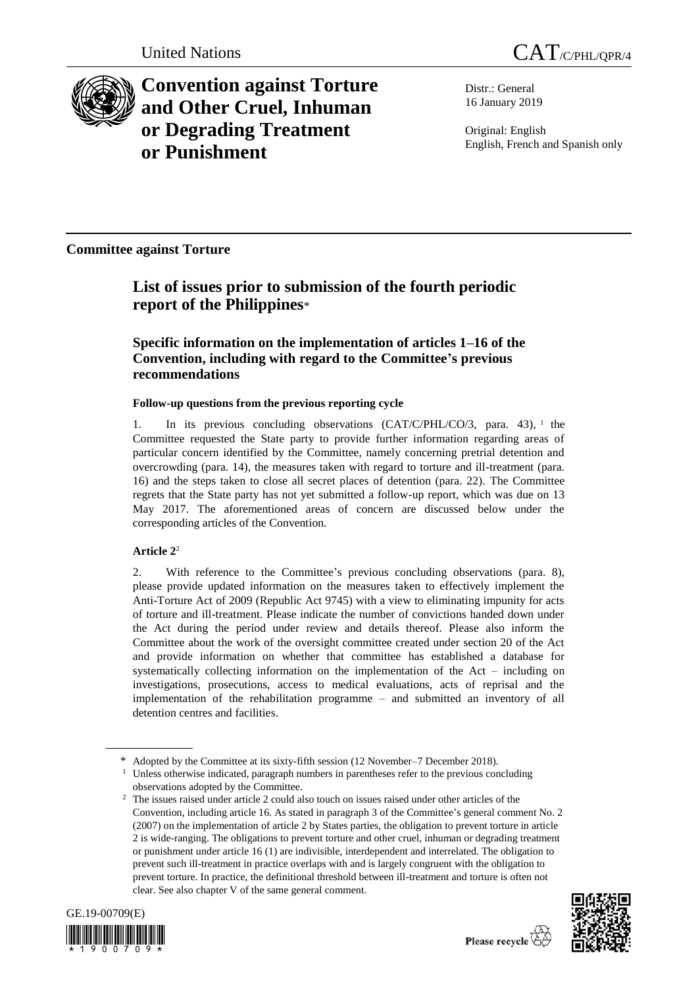

**Convention against Torture and Other Cruel, Inhuman or Degrading Treatment or Punishment**

Distr.: General 16 January 2019

Original: English English, French and Spanish only

**Committee against Torture**

# **List of issues prior to submission of the fourth periodic report of the Philippines**\*

## **Specific information on the implementation of articles 1–16 of the Convention, including with regard to the Committee's previous recommendations**

## **Follow-up questions from the previous reporting cycle**

1. In its previous concluding observations (CAT/C/PHL/CO/3, para. 43), <sup>1</sup> the Committee requested the State party to provide further information regarding areas of particular concern identified by the Committee, namely concerning pretrial detention and overcrowding (para. 14), the measures taken with regard to torture and ill-treatment (para. 16) and the steps taken to close all secret places of detention (para. 22). The Committee regrets that the State party has not yet submitted a follow-up report, which was due on 13 May 2017. The aforementioned areas of concern are discussed below under the corresponding articles of the Convention.

## **Article 2**<sup>2</sup>

2. With reference to the Committee's previous concluding observations (para. 8), please provide updated information on the measures taken to effectively implement the Anti-Torture Act of 2009 (Republic Act 9745) with a view to eliminating impunity for acts of torture and ill-treatment. Please indicate the number of convictions handed down under the Act during the period under review and details thereof. Please also inform the Committee about the work of the oversight committee created under section 20 of the Act and provide information on whether that committee has established a database for systematically collecting information on the implementation of the Act – including on investigations, prosecutions, access to medical evaluations, acts of reprisal and the implementation of the rehabilitation programme – and submitted an inventory of all detention centres and facilities.

<sup>2</sup> The issues raised under article 2 could also touch on issues raised under other articles of the Convention, including article 16. As stated in paragraph 3 of the Committee's general comment No. 2 (2007) on the implementation of article 2 by States parties, the obligation to prevent torture in article 2 is wide-ranging. The obligations to prevent torture and other cruel, inhuman or degrading treatment or punishment under article 16 (1) are indivisible, interdependent and interrelated. The obligation to prevent such ill-treatment in practice overlaps with and is largely congruent with the obligation to prevent torture. In practice, the definitional threshold between ill-treatment and torture is often not clear. See also chapter V of the same general comment.





<sup>\*</sup> Adopted by the Committee at its sixty-fifth session (12 November–7 December 2018).

<sup>&</sup>lt;sup>1</sup> Unless otherwise indicated, paragraph numbers in parentheses refer to the previous concluding observations adopted by the Committee.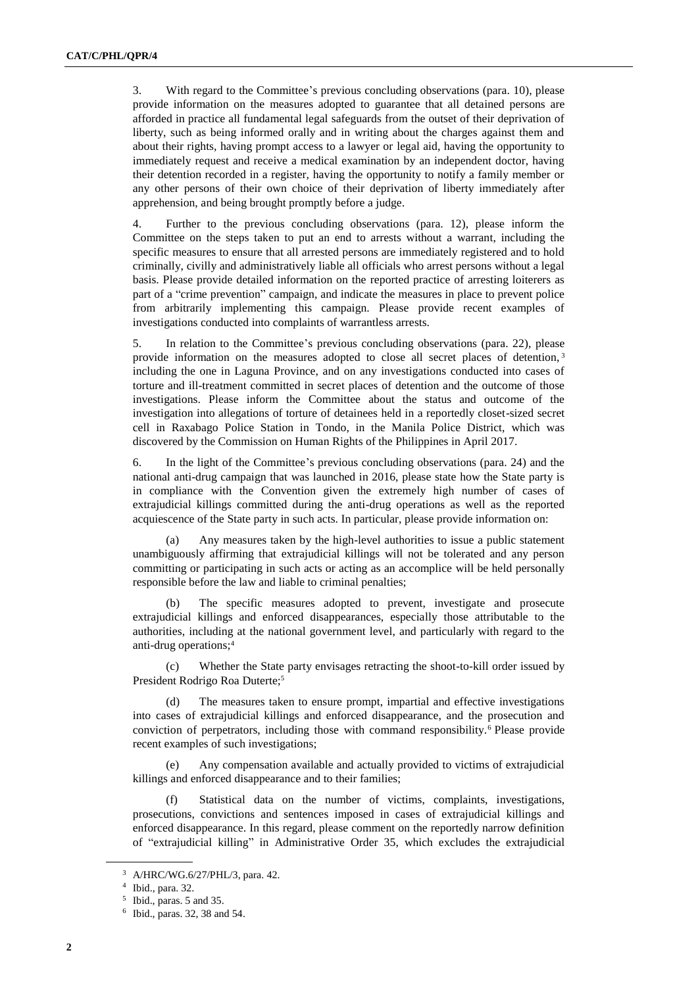3. With regard to the Committee's previous concluding observations (para. 10), please provide information on the measures adopted to guarantee that all detained persons are afforded in practice all fundamental legal safeguards from the outset of their deprivation of liberty, such as being informed orally and in writing about the charges against them and about their rights, having prompt access to a lawyer or legal aid, having the opportunity to immediately request and receive a medical examination by an independent doctor, having their detention recorded in a register, having the opportunity to notify a family member or any other persons of their own choice of their deprivation of liberty immediately after apprehension, and being brought promptly before a judge.

4. Further to the previous concluding observations (para. 12), please inform the Committee on the steps taken to put an end to arrests without a warrant, including the specific measures to ensure that all arrested persons are immediately registered and to hold criminally, civilly and administratively liable all officials who arrest persons without a legal basis. Please provide detailed information on the reported practice of arresting loiterers as part of a "crime prevention" campaign, and indicate the measures in place to prevent police from arbitrarily implementing this campaign. Please provide recent examples of investigations conducted into complaints of warrantless arrests.

5. In relation to the Committee's previous concluding observations (para. 22), please provide information on the measures adopted to close all secret places of detention, <sup>3</sup> including the one in Laguna Province, and on any investigations conducted into cases of torture and ill-treatment committed in secret places of detention and the outcome of those investigations. Please inform the Committee about the status and outcome of the investigation into allegations of torture of detainees held in a reportedly closet-sized secret cell in Raxabago Police Station in Tondo, in the Manila Police District, which was discovered by the Commission on Human Rights of the Philippines in April 2017.

6. In the light of the Committee's previous concluding observations (para. 24) and the national anti-drug campaign that was launched in 2016, please state how the State party is in compliance with the Convention given the extremely high number of cases of extrajudicial killings committed during the anti-drug operations as well as the reported acquiescence of the State party in such acts. In particular, please provide information on:

(a) Any measures taken by the high-level authorities to issue a public statement unambiguously affirming that extrajudicial killings will not be tolerated and any person committing or participating in such acts or acting as an accomplice will be held personally responsible before the law and liable to criminal penalties;

(b) The specific measures adopted to prevent, investigate and prosecute extrajudicial killings and enforced disappearances, especially those attributable to the authorities, including at the national government level, and particularly with regard to the anti-drug operations;<sup>4</sup>

(c) Whether the State party envisages retracting the shoot-to-kill order issued by President Rodrigo Roa Duterte;<sup>5</sup>

The measures taken to ensure prompt, impartial and effective investigations into cases of extrajudicial killings and enforced disappearance, and the prosecution and conviction of perpetrators, including those with command responsibility.<sup>6</sup> Please provide recent examples of such investigations;

(e) Any compensation available and actually provided to victims of extrajudicial killings and enforced disappearance and to their families;

(f) Statistical data on the number of victims, complaints, investigations, prosecutions, convictions and sentences imposed in cases of extrajudicial killings and enforced disappearance. In this regard, please comment on the reportedly narrow definition of "extrajudicial killing" in Administrative Order 35, which excludes the extrajudicial

<sup>3</sup> A/HRC/WG.6/27/PHL/3, para. 42.

<sup>4</sup> Ibid., para. 32.

<sup>5</sup> Ibid., paras. 5 and 35.

<sup>6</sup> Ibid., paras. 32, 38 and 54.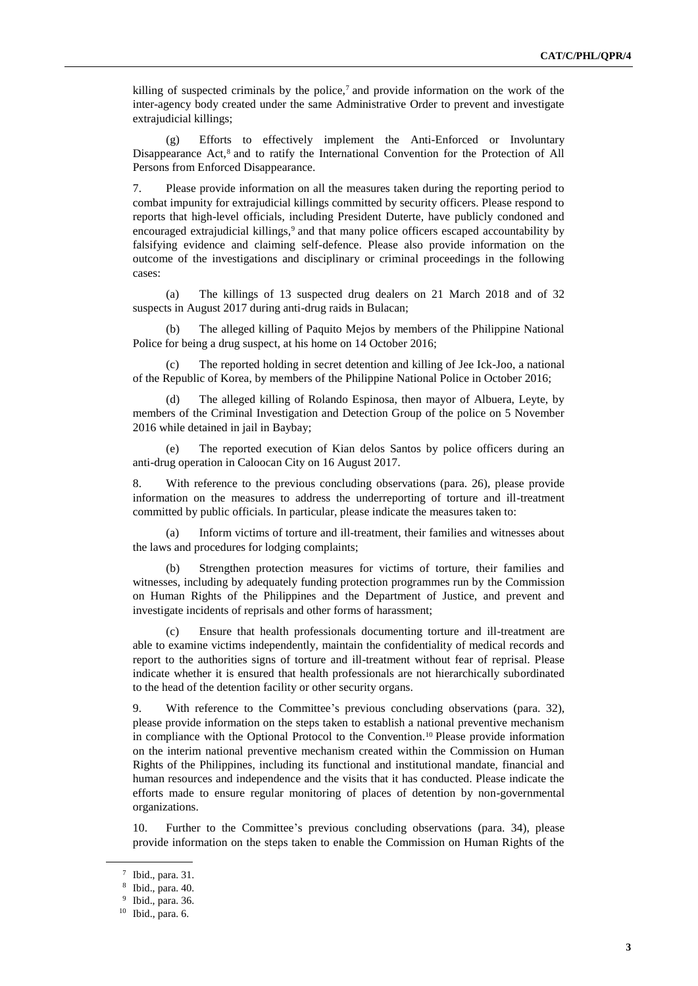killing of suspected criminals by the police,<sup>7</sup> and provide information on the work of the inter-agency body created under the same Administrative Order to prevent and investigate extrajudicial killings;

(g) Efforts to effectively implement the Anti-Enforced or Involuntary Disappearance  $Act<sub>1</sub><sup>8</sup>$  and to ratify the International Convention for the Protection of All Persons from Enforced Disappearance.

7. Please provide information on all the measures taken during the reporting period to combat impunity for extrajudicial killings committed by security officers. Please respond to reports that high-level officials, including President Duterte, have publicly condoned and encouraged extrajudicial killings,<sup>9</sup> and that many police officers escaped accountability by falsifying evidence and claiming self-defence. Please also provide information on the outcome of the investigations and disciplinary or criminal proceedings in the following cases:

(a) The killings of 13 suspected drug dealers on 21 March 2018 and of 32 suspects in August 2017 during anti-drug raids in Bulacan;

(b) The alleged killing of Paquito Mejos by members of the Philippine National Police for being a drug suspect, at his home on 14 October 2016;

The reported holding in secret detention and killing of Jee Ick-Joo, a national of the Republic of Korea, by members of the Philippine National Police in October 2016;

(d) The alleged killing of Rolando Espinosa, then mayor of Albuera, Leyte, by members of the Criminal Investigation and Detection Group of the police on 5 November 2016 while detained in jail in Baybay;

(e) The reported execution of Kian delos Santos by police officers during an anti-drug operation in Caloocan City on 16 August 2017.

8. With reference to the previous concluding observations (para. 26), please provide information on the measures to address the underreporting of torture and ill-treatment committed by public officials. In particular, please indicate the measures taken to:

(a) Inform victims of torture and ill-treatment, their families and witnesses about the laws and procedures for lodging complaints;

Strengthen protection measures for victims of torture, their families and witnesses, including by adequately funding protection programmes run by the Commission on Human Rights of the Philippines and the Department of Justice, and prevent and investigate incidents of reprisals and other forms of harassment;

(c) Ensure that health professionals documenting torture and ill-treatment are able to examine victims independently, maintain the confidentiality of medical records and report to the authorities signs of torture and ill-treatment without fear of reprisal. Please indicate whether it is ensured that health professionals are not hierarchically subordinated to the head of the detention facility or other security organs.

9. With reference to the Committee's previous concluding observations (para. 32), please provide information on the steps taken to establish a national preventive mechanism in compliance with the Optional Protocol to the Convention.<sup>10</sup> Please provide information on the interim national preventive mechanism created within the Commission on Human Rights of the Philippines, including its functional and institutional mandate, financial and human resources and independence and the visits that it has conducted. Please indicate the efforts made to ensure regular monitoring of places of detention by non-governmental organizations.

10. Further to the Committee's previous concluding observations (para. 34), please provide information on the steps taken to enable the Commission on Human Rights of the

<sup>7</sup> Ibid., para. 31.

<sup>8</sup> Ibid., para. 40.

<sup>9</sup> Ibid., para. 36.

<sup>10</sup> Ibid., para. 6.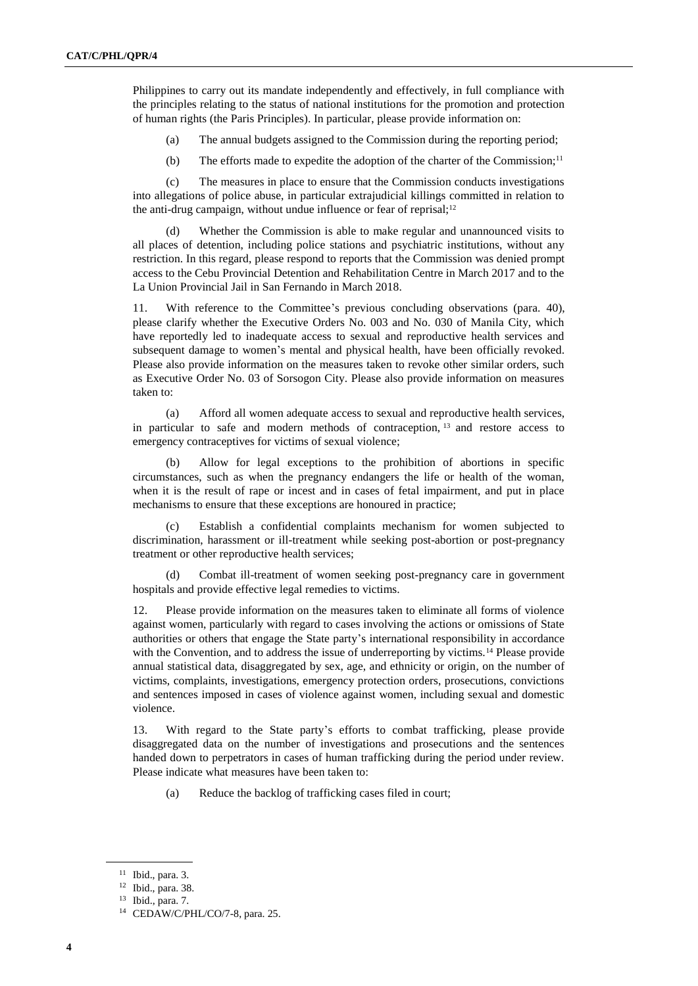Philippines to carry out its mandate independently and effectively, in full compliance with the principles relating to the status of national institutions for the promotion and protection of human rights (the Paris Principles). In particular, please provide information on:

(a) The annual budgets assigned to the Commission during the reporting period;

(b) The efforts made to expedite the adoption of the charter of the Commission;<sup>11</sup>

(c) The measures in place to ensure that the Commission conducts investigations into allegations of police abuse, in particular extrajudicial killings committed in relation to the anti-drug campaign, without undue influence or fear of reprisal;<sup>12</sup>

(d) Whether the Commission is able to make regular and unannounced visits to all places of detention, including police stations and psychiatric institutions, without any restriction. In this regard, please respond to reports that the Commission was denied prompt access to the Cebu Provincial Detention and Rehabilitation Centre in March 2017 and to the La Union Provincial Jail in San Fernando in March 2018.

11. With reference to the Committee's previous concluding observations (para. 40), please clarify whether the Executive Orders No. 003 and No. 030 of Manila City, which have reportedly led to inadequate access to sexual and reproductive health services and subsequent damage to women's mental and physical health, have been officially revoked. Please also provide information on the measures taken to revoke other similar orders, such as Executive Order No. 03 of Sorsogon City. Please also provide information on measures taken to:

(a) Afford all women adequate access to sexual and reproductive health services, in particular to safe and modern methods of contraception,  $13$  and restore access to emergency contraceptives for victims of sexual violence;

(b) Allow for legal exceptions to the prohibition of abortions in specific circumstances, such as when the pregnancy endangers the life or health of the woman, when it is the result of rape or incest and in cases of fetal impairment, and put in place mechanisms to ensure that these exceptions are honoured in practice;

(c) Establish a confidential complaints mechanism for women subjected to discrimination, harassment or ill-treatment while seeking post-abortion or post-pregnancy treatment or other reproductive health services;

Combat ill-treatment of women seeking post-pregnancy care in government hospitals and provide effective legal remedies to victims.

12. Please provide information on the measures taken to eliminate all forms of violence against women, particularly with regard to cases involving the actions or omissions of State authorities or others that engage the State party's international responsibility in accordance with the Convention, and to address the issue of underreporting by victims.<sup>14</sup> Please provide annual statistical data, disaggregated by sex, age, and ethnicity or origin, on the number of victims, complaints, investigations, emergency protection orders, prosecutions, convictions and sentences imposed in cases of violence against women, including sexual and domestic violence.

13. With regard to the State party's efforts to combat trafficking, please provide disaggregated data on the number of investigations and prosecutions and the sentences handed down to perpetrators in cases of human trafficking during the period under review. Please indicate what measures have been taken to:

(a) Reduce the backlog of trafficking cases filed in court;

<sup>11</sup> Ibid., para. 3.

<sup>12</sup> Ibid., para. 38.

<sup>13</sup> Ibid., para. 7.

<sup>14</sup> CEDAW/C/PHL/CO/7-8, para. 25.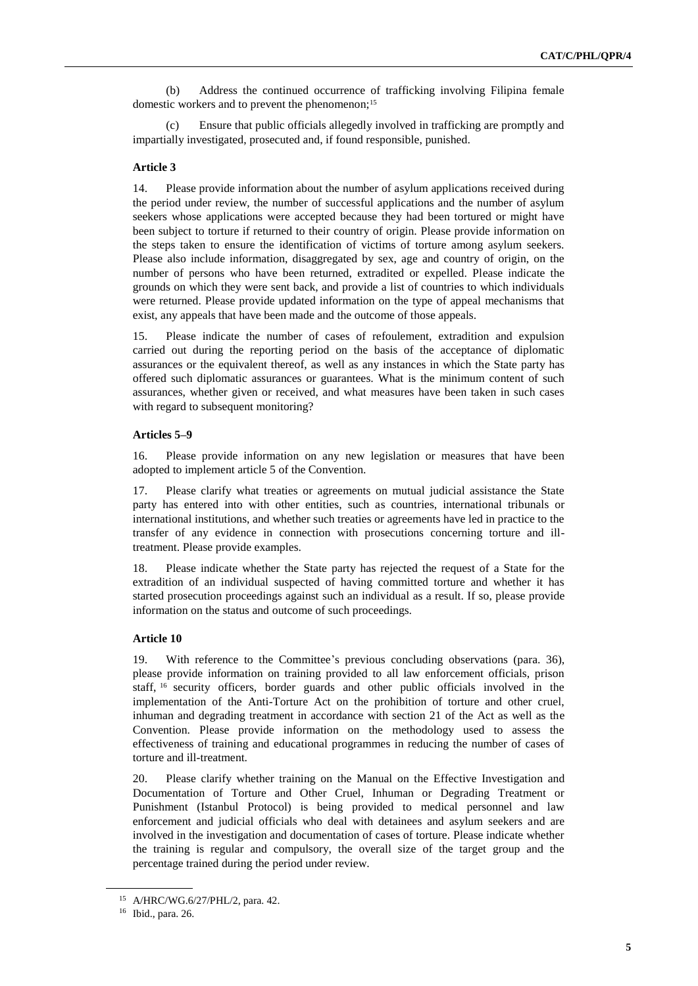(b) Address the continued occurrence of trafficking involving Filipina female domestic workers and to prevent the phenomenon;<sup>15</sup>

(c) Ensure that public officials allegedly involved in trafficking are promptly and impartially investigated, prosecuted and, if found responsible, punished.

### **Article 3**

14. Please provide information about the number of asylum applications received during the period under review, the number of successful applications and the number of asylum seekers whose applications were accepted because they had been tortured or might have been subject to torture if returned to their country of origin. Please provide information on the steps taken to ensure the identification of victims of torture among asylum seekers. Please also include information, disaggregated by sex, age and country of origin, on the number of persons who have been returned, extradited or expelled. Please indicate the grounds on which they were sent back, and provide a list of countries to which individuals were returned. Please provide updated information on the type of appeal mechanisms that exist, any appeals that have been made and the outcome of those appeals.

15. Please indicate the number of cases of refoulement, extradition and expulsion carried out during the reporting period on the basis of the acceptance of diplomatic assurances or the equivalent thereof, as well as any instances in which the State party has offered such diplomatic assurances or guarantees. What is the minimum content of such assurances, whether given or received, and what measures have been taken in such cases with regard to subsequent monitoring?

### **Articles 5–9**

16. Please provide information on any new legislation or measures that have been adopted to implement article 5 of the Convention.

17. Please clarify what treaties or agreements on mutual judicial assistance the State party has entered into with other entities, such as countries, international tribunals or international institutions, and whether such treaties or agreements have led in practice to the transfer of any evidence in connection with prosecutions concerning torture and illtreatment. Please provide examples.

18. Please indicate whether the State party has rejected the request of a State for the extradition of an individual suspected of having committed torture and whether it has started prosecution proceedings against such an individual as a result. If so, please provide information on the status and outcome of such proceedings.

## **Article 10**

19. With reference to the Committee's previous concluding observations (para. 36), please provide information on training provided to all law enforcement officials, prison staff, <sup>16</sup> security officers, border guards and other public officials involved in the implementation of the Anti-Torture Act on the prohibition of torture and other cruel, inhuman and degrading treatment in accordance with section 21 of the Act as well as the Convention. Please provide information on the methodology used to assess the effectiveness of training and educational programmes in reducing the number of cases of torture and ill-treatment.

20. Please clarify whether training on the Manual on the Effective Investigation and Documentation of Torture and Other Cruel, Inhuman or Degrading Treatment or Punishment (Istanbul Protocol) is being provided to medical personnel and law enforcement and judicial officials who deal with detainees and asylum seekers and are involved in the investigation and documentation of cases of torture. Please indicate whether the training is regular and compulsory, the overall size of the target group and the percentage trained during the period under review.

<sup>15</sup> A/HRC/WG.6/27/PHL/2, para. 42.

<sup>16</sup> Ibid., para. 26.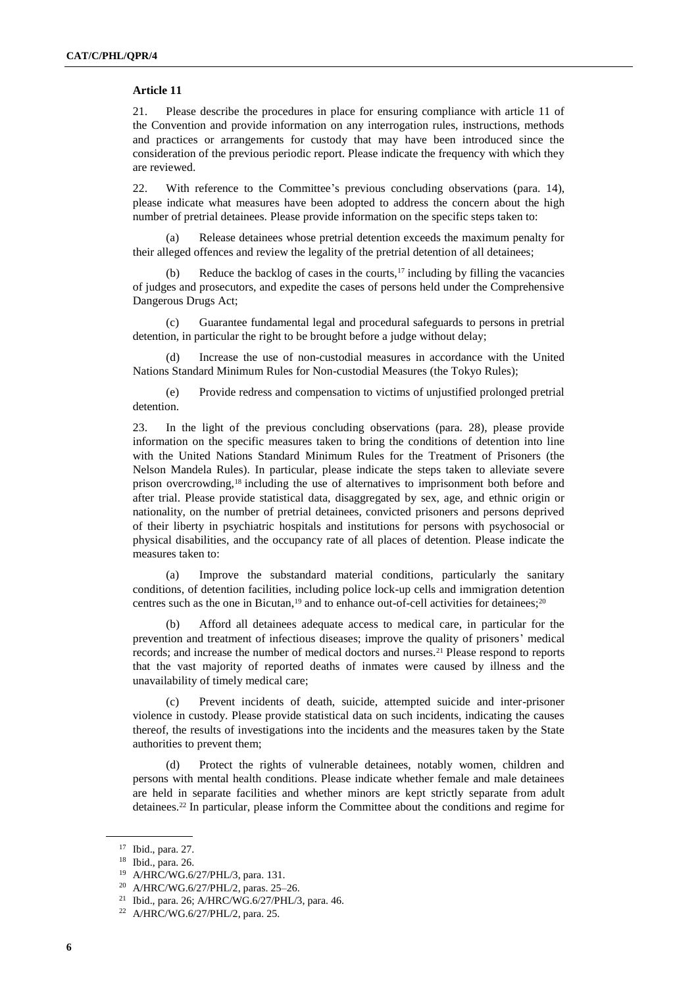#### **Article 11**

21. Please describe the procedures in place for ensuring compliance with article 11 of the Convention and provide information on any interrogation rules, instructions, methods and practices or arrangements for custody that may have been introduced since the consideration of the previous periodic report. Please indicate the frequency with which they are reviewed.

22. With reference to the Committee's previous concluding observations (para. 14), please indicate what measures have been adopted to address the concern about the high number of pretrial detainees. Please provide information on the specific steps taken to:

(a) Release detainees whose pretrial detention exceeds the maximum penalty for their alleged offences and review the legality of the pretrial detention of all detainees;

Reduce the backlog of cases in the courts, $17$  including by filling the vacancies of judges and prosecutors, and expedite the cases of persons held under the Comprehensive Dangerous Drugs Act;

(c) Guarantee fundamental legal and procedural safeguards to persons in pretrial detention, in particular the right to be brought before a judge without delay;

(d) Increase the use of non-custodial measures in accordance with the United Nations Standard Minimum Rules for Non-custodial Measures (the Tokyo Rules);

(e) Provide redress and compensation to victims of unjustified prolonged pretrial detention.

23. In the light of the previous concluding observations (para. 28), please provide information on the specific measures taken to bring the conditions of detention into line with the United Nations Standard Minimum Rules for the Treatment of Prisoners (the Nelson Mandela Rules). In particular, please indicate the steps taken to alleviate severe prison overcrowding,<sup>18</sup> including the use of alternatives to imprisonment both before and after trial. Please provide statistical data, disaggregated by sex, age, and ethnic origin or nationality, on the number of pretrial detainees, convicted prisoners and persons deprived of their liberty in psychiatric hospitals and institutions for persons with psychosocial or physical disabilities, and the occupancy rate of all places of detention. Please indicate the measures taken to:

(a) Improve the substandard material conditions, particularly the sanitary conditions, of detention facilities, including police lock-up cells and immigration detention centres such as the one in Bicutan,<sup>19</sup> and to enhance out-of-cell activities for detainees;<sup>20</sup>

Afford all detainees adequate access to medical care, in particular for the prevention and treatment of infectious diseases; improve the quality of prisoners' medical records; and increase the number of medical doctors and nurses.<sup>21</sup> Please respond to reports that the vast majority of reported deaths of inmates were caused by illness and the unavailability of timely medical care;

(c) Prevent incidents of death, suicide, attempted suicide and inter-prisoner violence in custody. Please provide statistical data on such incidents, indicating the causes thereof, the results of investigations into the incidents and the measures taken by the State authorities to prevent them;

(d) Protect the rights of vulnerable detainees, notably women, children and persons with mental health conditions. Please indicate whether female and male detainees are held in separate facilities and whether minors are kept strictly separate from adult detainees.<sup>22</sup> In particular, please inform the Committee about the conditions and regime for

<sup>17</sup> Ibid., para. 27.

<sup>18</sup> Ibid., para. 26.

<sup>19</sup> A/HRC/WG.6/27/PHL/3, para. 131.

<sup>20</sup> A/HRC/WG.6/27/PHL/2, paras. 25–26.

<sup>21</sup> Ibid., para. 26; A/HRC/WG.6/27/PHL/3, para. 46.

<sup>22</sup> A/HRC/WG.6/27/PHL/2, para. 25.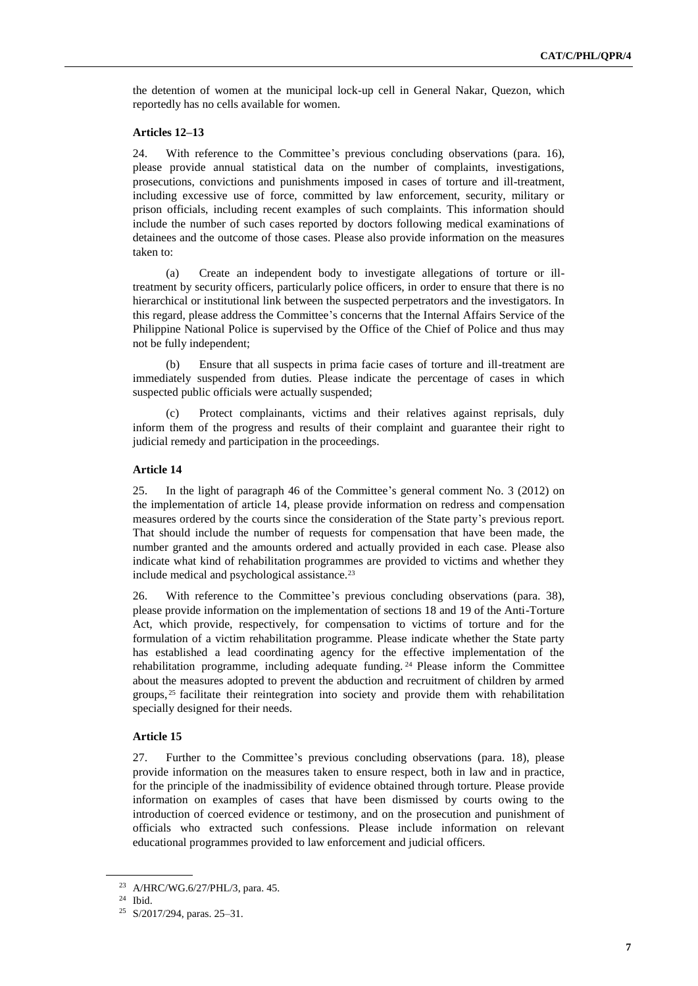the detention of women at the municipal lock-up cell in General Nakar, Quezon, which reportedly has no cells available for women.

#### **Articles 12–13**

24. With reference to the Committee's previous concluding observations (para. 16), please provide annual statistical data on the number of complaints, investigations, prosecutions, convictions and punishments imposed in cases of torture and ill-treatment, including excessive use of force, committed by law enforcement, security, military or prison officials, including recent examples of such complaints. This information should include the number of such cases reported by doctors following medical examinations of detainees and the outcome of those cases. Please also provide information on the measures taken to:

(a) Create an independent body to investigate allegations of torture or illtreatment by security officers, particularly police officers, in order to ensure that there is no hierarchical or institutional link between the suspected perpetrators and the investigators. In this regard, please address the Committee's concerns that the Internal Affairs Service of the Philippine National Police is supervised by the Office of the Chief of Police and thus may not be fully independent;

(b) Ensure that all suspects in prima facie cases of torture and ill-treatment are immediately suspended from duties. Please indicate the percentage of cases in which suspected public officials were actually suspended;

Protect complainants, victims and their relatives against reprisals, duly inform them of the progress and results of their complaint and guarantee their right to judicial remedy and participation in the proceedings.

#### **Article 14**

25. In the light of paragraph 46 of the Committee's general comment No. 3 (2012) on the implementation of article 14, please provide information on redress and compensation measures ordered by the courts since the consideration of the State party's previous report. That should include the number of requests for compensation that have been made, the number granted and the amounts ordered and actually provided in each case. Please also indicate what kind of rehabilitation programmes are provided to victims and whether they include medical and psychological assistance.<sup>23</sup>

26. With reference to the Committee's previous concluding observations (para. 38), please provide information on the implementation of sections 18 and 19 of the Anti-Torture Act, which provide, respectively, for compensation to victims of torture and for the formulation of a victim rehabilitation programme. Please indicate whether the State party has established a lead coordinating agency for the effective implementation of the rehabilitation programme, including adequate funding. <sup>24</sup> Please inform the Committee about the measures adopted to prevent the abduction and recruitment of children by armed groups, <sup>25</sup> facilitate their reintegration into society and provide them with rehabilitation specially designed for their needs.

#### **Article 15**

27. Further to the Committee's previous concluding observations (para. 18), please provide information on the measures taken to ensure respect, both in law and in practice, for the principle of the inadmissibility of evidence obtained through torture. Please provide information on examples of cases that have been dismissed by courts owing to the introduction of coerced evidence or testimony, and on the prosecution and punishment of officials who extracted such confessions. Please include information on relevant educational programmes provided to law enforcement and judicial officers.

<sup>23</sup> A/HRC/WG.6/27/PHL/3, para. 45.

<sup>24</sup> Ibid.

<sup>25</sup> S/2017/294, paras. 25–31.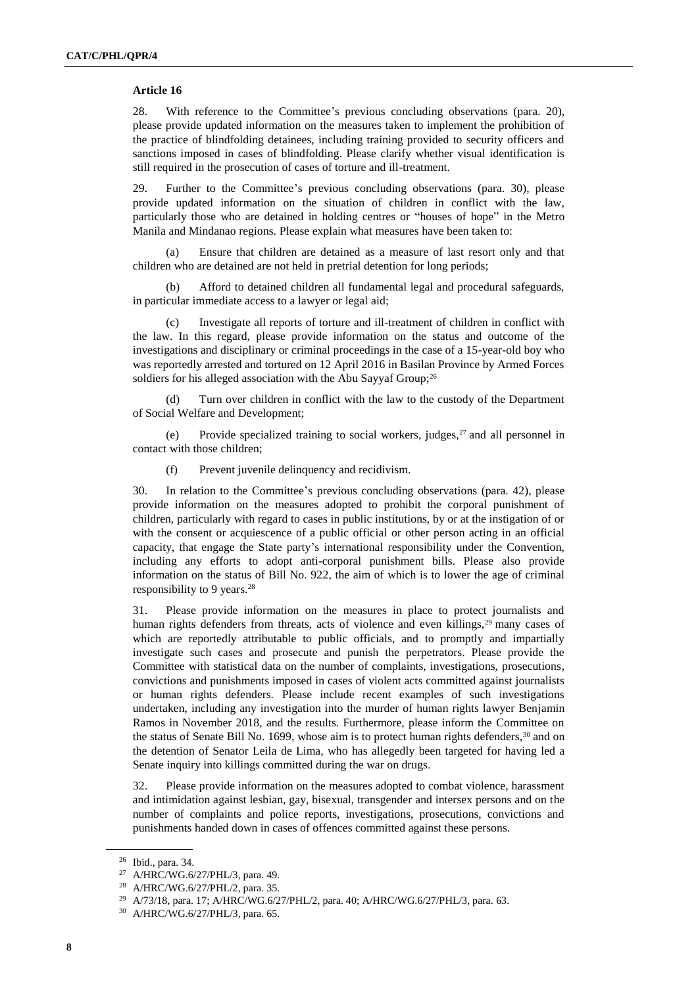## **Article 16**

28. With reference to the Committee's previous concluding observations (para. 20), please provide updated information on the measures taken to implement the prohibition of the practice of blindfolding detainees, including training provided to security officers and sanctions imposed in cases of blindfolding. Please clarify whether visual identification is still required in the prosecution of cases of torture and ill-treatment.

29. Further to the Committee's previous concluding observations (para. 30), please provide updated information on the situation of children in conflict with the law, particularly those who are detained in holding centres or "houses of hope" in the Metro Manila and Mindanao regions. Please explain what measures have been taken to:

(a) Ensure that children are detained as a measure of last resort only and that children who are detained are not held in pretrial detention for long periods;

(b) Afford to detained children all fundamental legal and procedural safeguards, in particular immediate access to a lawyer or legal aid;

(c) Investigate all reports of torture and ill-treatment of children in conflict with the law. In this regard, please provide information on the status and outcome of the investigations and disciplinary or criminal proceedings in the case of a 15-year-old boy who was reportedly arrested and tortured on 12 April 2016 in Basilan Province by Armed Forces soldiers for his alleged association with the Abu Sayyaf Group;<sup>26</sup>

(d) Turn over children in conflict with the law to the custody of the Department of Social Welfare and Development;

(e) Provide specialized training to social workers, judges,<sup>27</sup> and all personnel in contact with those children;

(f) Prevent juvenile delinquency and recidivism.

30. In relation to the Committee's previous concluding observations (para. 42), please provide information on the measures adopted to prohibit the corporal punishment of children, particularly with regard to cases in public institutions, by or at the instigation of or with the consent or acquiescence of a public official or other person acting in an official capacity, that engage the State party's international responsibility under the Convention, including any efforts to adopt anti-corporal punishment bills. Please also provide information on the status of Bill No. 922, the aim of which is to lower the age of criminal responsibility to 9 years.<sup>28</sup>

31. Please provide information on the measures in place to protect journalists and human rights defenders from threats, acts of violence and even killings,<sup>29</sup> many cases of which are reportedly attributable to public officials, and to promptly and impartially investigate such cases and prosecute and punish the perpetrators. Please provide the Committee with statistical data on the number of complaints, investigations, prosecutions, convictions and punishments imposed in cases of violent acts committed against journalists or human rights defenders. Please include recent examples of such investigations undertaken, including any investigation into the murder of human rights lawyer Benjamin Ramos in November 2018, and the results. Furthermore, please inform the Committee on the status of Senate Bill No. 1699, whose aim is to protect human rights defenders,<sup>30</sup> and on the detention of Senator Leila de Lima, who has allegedly been targeted for having led a Senate inquiry into killings committed during the war on drugs.

32. Please provide information on the measures adopted to combat violence, harassment and intimidation against lesbian, gay, bisexual, transgender and intersex persons and on the number of complaints and police reports, investigations, prosecutions, convictions and punishments handed down in cases of offences committed against these persons.

<sup>26</sup> Ibid., para. 34.

<sup>27</sup> A/HRC/WG.6/27/PHL/3, para. 49.

<sup>28</sup> A/HRC/WG.6/27/PHL/2, para. 35.

<sup>29</sup> A/73/18, para. 17; A/HRC/WG.6/27/PHL/2, para. 40; A/HRC/WG.6/27/PHL/3, para. 63.

<sup>30</sup> A/HRC/WG.6/27/PHL/3, para. 65.